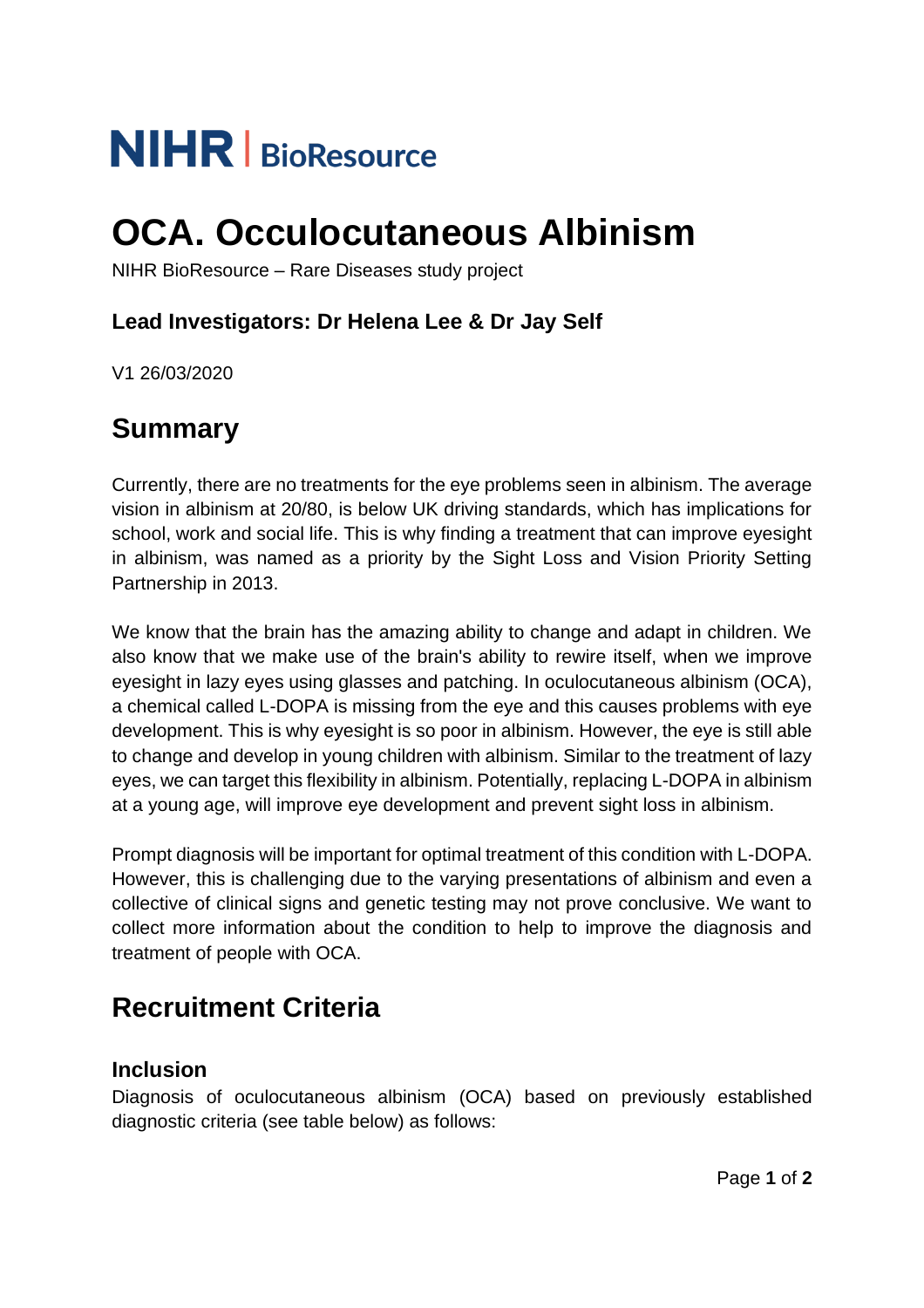# **NIHR** | BioResource

## **OCA. Occulocutaneous Albinism**

NIHR BioResource – Rare Diseases study project

### **Lead Investigators: Dr Helena Lee & Dr Jay Self**

V1 26/03/2020

## **Summary**

Currently, there are no treatments for the eye problems seen in albinism. The average vision in albinism at 20/80, is below UK driving standards, which has implications for school, work and social life. This is why finding a treatment that can improve eyesight in albinism, was named as a priority by the Sight Loss and Vision Priority Setting Partnership in 2013.

We know that the brain has the amazing ability to change and adapt in children. We also know that we make use of the brain's ability to rewire itself, when we improve eyesight in lazy eyes using glasses and patching. In oculocutaneous albinism (OCA), a chemical called L-DOPA is missing from the eye and this causes problems with eye development. This is why eyesight is so poor in albinism. However, the eye is still able to change and develop in young children with albinism. Similar to the treatment of lazy eyes, we can target this flexibility in albinism. Potentially, replacing L-DOPA in albinism at a young age, will improve eye development and prevent sight loss in albinism.

Prompt diagnosis will be important for optimal treatment of this condition with L-DOPA. However, this is challenging due to the varying presentations of albinism and even a collective of clinical signs and genetic testing may not prove conclusive. We want to collect more information about the condition to help to improve the diagnosis and treatment of people with OCA.

## **Recruitment Criteria**

#### **Inclusion**

Diagnosis of oculocutaneous albinism (OCA) based on previously established diagnostic criteria (see table below) as follows: